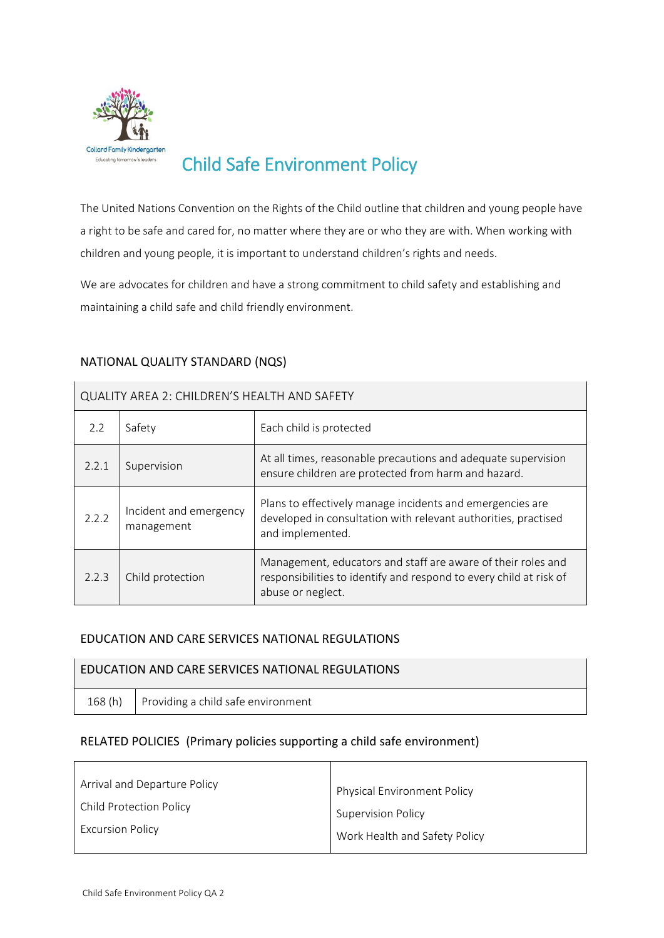

# Child Safe Environment Policy

The United Nations Convention on the Rights of the Child outline that children and young people have a right to be safe and cared for, no matter where they are or who they are with. When working with children and young people, it is important to understand children's rights and needs.

We are advocates for children and have a strong commitment to child safety and establishing and maintaining a child safe and child friendly environment.

| QUALITY AREA 2: CHILDREN'S HEALTH AND SAFETY |                                      |                                                                                                                                                         |  |  |  |
|----------------------------------------------|--------------------------------------|---------------------------------------------------------------------------------------------------------------------------------------------------------|--|--|--|
| 2.2                                          | Safety                               | Each child is protected                                                                                                                                 |  |  |  |
| 2.2.1                                        | Supervision                          | At all times, reasonable precautions and adequate supervision<br>ensure children are protected from harm and hazard.                                    |  |  |  |
| 2.2.2                                        | Incident and emergency<br>management | Plans to effectively manage incidents and emergencies are<br>developed in consultation with relevant authorities, practised<br>and implemented.         |  |  |  |
| 2.2.3                                        | Child protection                     | Management, educators and staff are aware of their roles and<br>responsibilities to identify and respond to every child at risk of<br>abuse or neglect. |  |  |  |

## NATIONAL QUALITY STANDARD (NQS)

## EDUCATION AND CARE SERVICES NATIONAL REGULATIONS

#### EDUCATION AND CARE SERVICES NATIONAL REGULATIONS

168 (h) Providing a child safe environment

## RELATED POLICIES (Primary policies supporting a child safe environment)

| Physical Environment Policy   |  |
|-------------------------------|--|
| <b>Supervision Policy</b>     |  |
| Work Health and Safety Policy |  |
|                               |  |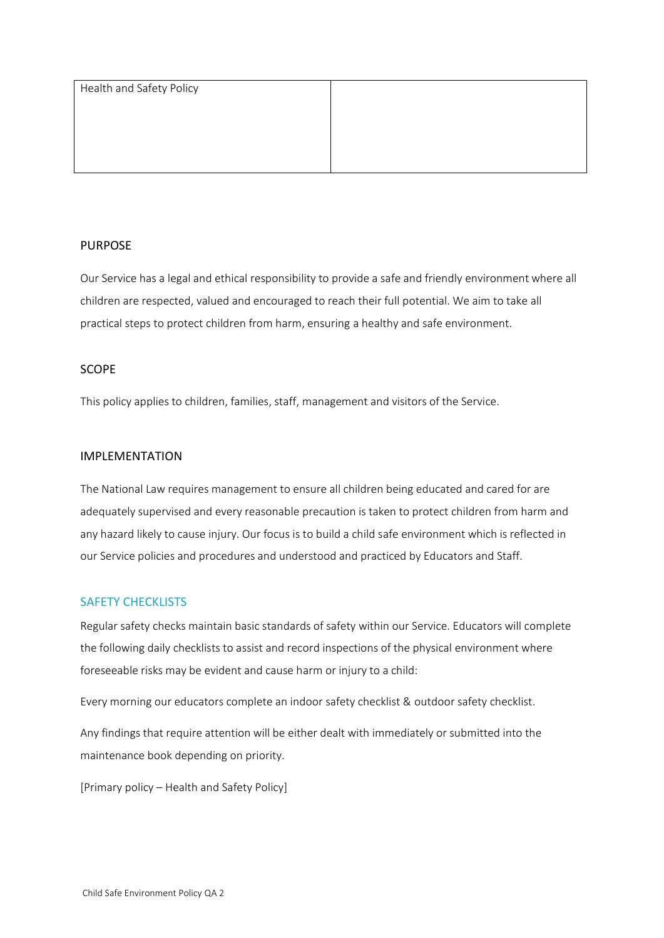| Health and Safety Policy |  |
|--------------------------|--|
|                          |  |
|                          |  |
|                          |  |
|                          |  |

## PURPOSE

Our Service has a legal and ethical responsibility to provide a safe and friendly environment where all children are respected, valued and encouraged to reach their full potential. We aim to take all practical steps to protect children from harm, ensuring a healthy and safe environment.

## SCOPE

This policy applies to children, families, staff, management and visitors of the Service.

### IMPLEMENTATION

The National Law requires management to ensure all children being educated and cared for are adequately supervised and every reasonable precaution is taken to protect children from harm and any hazard likely to cause injury. Our focus is to build a child safe environment which is reflected in our Service policies and procedures and understood and practiced by Educators and Staff.

## SAFETY CHECKLISTS

Regular safety checks maintain basic standards of safety within our Service. Educators will complete the following daily checklists to assist and record inspections of the physical environment where foreseeable risks may be evident and cause harm or injury to a child:

Every morning our educators complete an indoor safety checklist & outdoor safety checklist.

Any findings that require attention will be either dealt with immediately or submitted into the maintenance book depending on priority.

[Primary policy – Health and Safety Policy]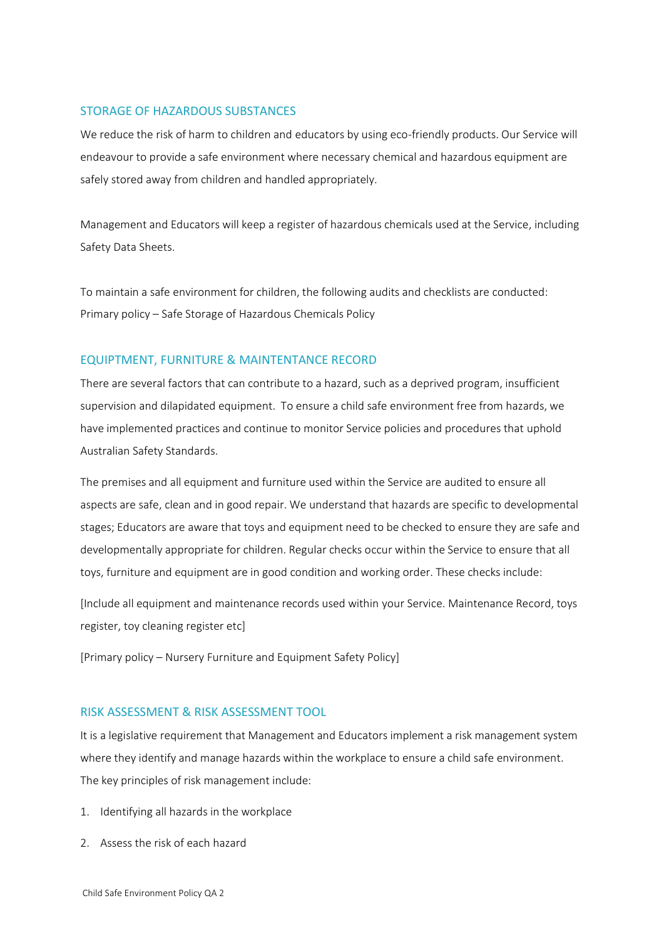## STORAGE OF HAZARDOUS SUBSTANCES

We reduce the risk of harm to children and educators by using eco-friendly products. Our Service will endeavour to provide a safe environment where necessary chemical and hazardous equipment are safely stored away from children and handled appropriately.

Management and Educators will keep a register of hazardous chemicals used at the Service, including Safety Data Sheets.

To maintain a safe environment for children, the following audits and checklists are conducted: Primary policy – Safe Storage of Hazardous Chemicals Policy

#### EQUIPTMENT, FURNITURE & MAINTENTANCE RECORD

There are several factors that can contribute to a hazard, such as a deprived program, insufficient supervision and dilapidated equipment. To ensure a child safe environment free from hazards, we have implemented practices and continue to monitor Service policies and procedures that uphold Australian Safety Standards.

The premises and all equipment and furniture used within the Service are audited to ensure all aspects are safe, clean and in good repair. We understand that hazards are specific to developmental stages; Educators are aware that toys and equipment need to be checked to ensure they are safe and developmentally appropriate for children. Regular checks occur within the Service to ensure that all toys, furniture and equipment are in good condition and working order. These checks include:

[Include all equipment and maintenance records used within your Service. Maintenance Record, toys register, toy cleaning register etc]

[Primary policy – Nursery Furniture and Equipment Safety Policy]

#### RISK ASSESSMENT & RISK ASSESSMENT TOOL

It is a legislative requirement that Management and Educators implement a risk management system where they identify and manage hazards within the workplace to ensure a child safe environment. The key principles of risk management include:

- 1. Identifying all hazards in the workplace
- 2. Assess the risk of each hazard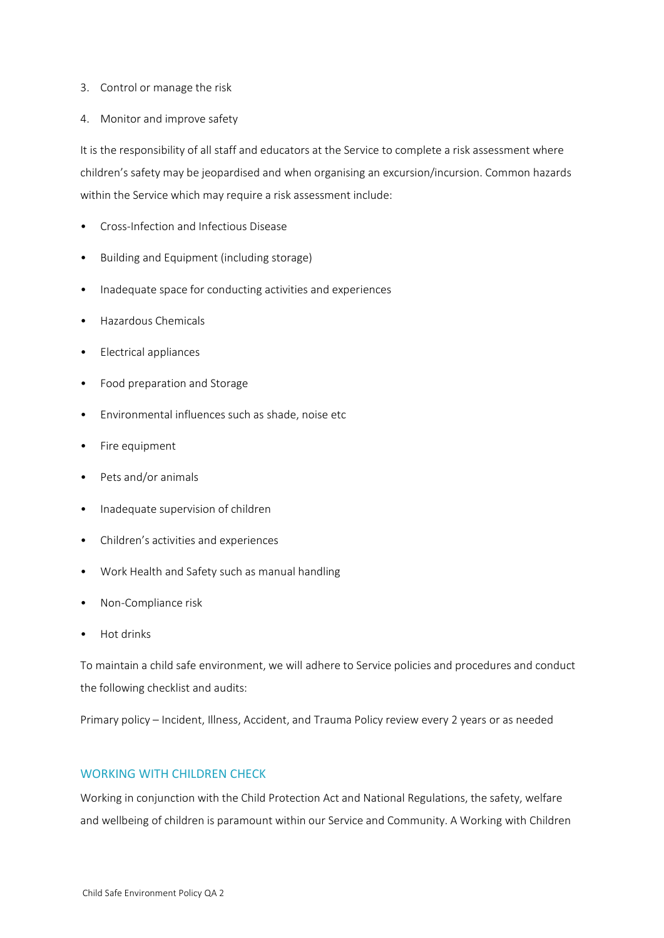#### 3. Control or manage the risk

4. Monitor and improve safety

It is the responsibility of all staff and educators at the Service to complete a risk assessment where children's safety may be jeopardised and when organising an excursion/incursion. Common hazards within the Service which may require a risk assessment include:

- Cross-Infection and Infectious Disease
- Building and Equipment (including storage)
- Inadequate space for conducting activities and experiences
- Hazardous Chemicals
- Electrical appliances
- Food preparation and Storage
- Environmental influences such as shade, noise etc
- Fire equipment
- Pets and/or animals
- Inadequate supervision of children
- Children's activities and experiences
- Work Health and Safety such as manual handling
- Non-Compliance risk
- Hot drinks

To maintain a child safe environment, we will adhere to Service policies and procedures and conduct the following checklist and audits:

Primary policy – Incident, Illness, Accident, and Trauma Policy review every 2 years or as needed

### WORKING WITH CHILDREN CHECK

Working in conjunction with the Child Protection Act and National Regulations, the safety, welfare and wellbeing of children is paramount within our Service and Community. A Working with Children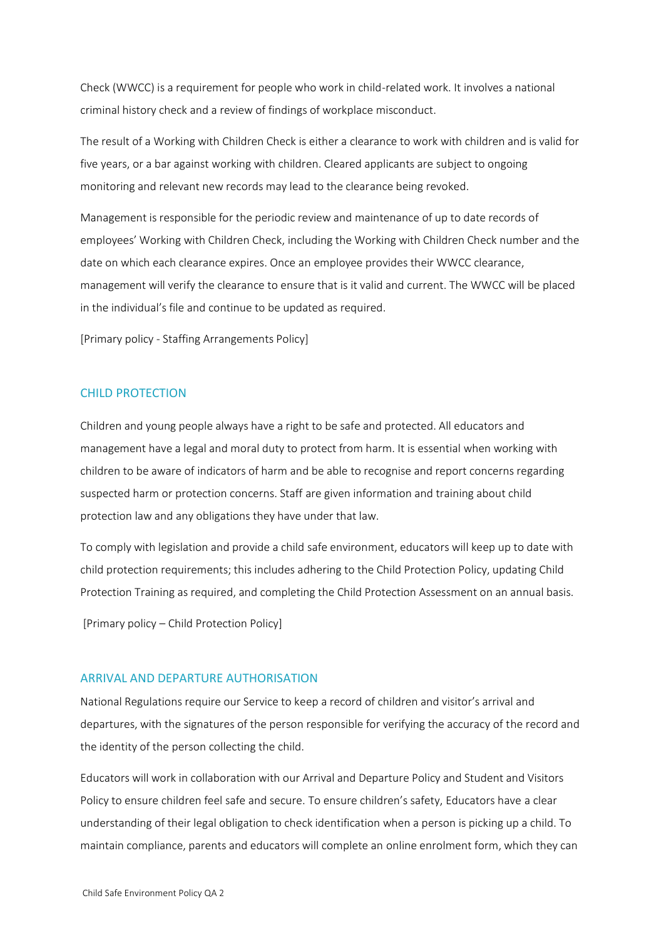Check (WWCC) is a requirement for people who work in child-related work. It involves a national criminal history check and a review of findings of workplace misconduct.

The result of a Working with Children Check is either a clearance to work with children and is valid for five years, or a bar against working with children. Cleared applicants are subject to ongoing monitoring and relevant new records may lead to the clearance being revoked.

Management is responsible for the periodic review and maintenance of up to date records of employees' Working with Children Check, including the Working with Children Check number and the date on which each clearance expires. Once an employee provides their WWCC clearance, management will verify the clearance to ensure that is it valid and current. The WWCC will be placed in the individual's file and continue to be updated as required.

[Primary policy - Staffing Arrangements Policy]

## CHILD PROTECTION

Children and young people always have a right to be safe and protected. All educators and management have a legal and moral duty to protect from harm. It is essential when working with children to be aware of indicators of harm and be able to recognise and report concerns regarding suspected harm or protection concerns. Staff are given information and training about child protection law and any obligations they have under that law.

To comply with legislation and provide a child safe environment, educators will keep up to date with child protection requirements; this includes adhering to the Child Protection Policy, updating Child Protection Training as required, and completing the Child Protection Assessment on an annual basis.

[Primary policy – Child Protection Policy]

#### ARRIVAL AND DEPARTURE AUTHORISATION

National Regulations require our Service to keep a record of children and visitor's arrival and departures, with the signatures of the person responsible for verifying the accuracy of the record and the identity of the person collecting the child.

Educators will work in collaboration with our Arrival and Departure Policy and Student and Visitors Policy to ensure children feel safe and secure. To ensure children's safety, Educators have a clear understanding of their legal obligation to check identification when a person is picking up a child. To maintain compliance, parents and educators will complete an online enrolment form, which they can